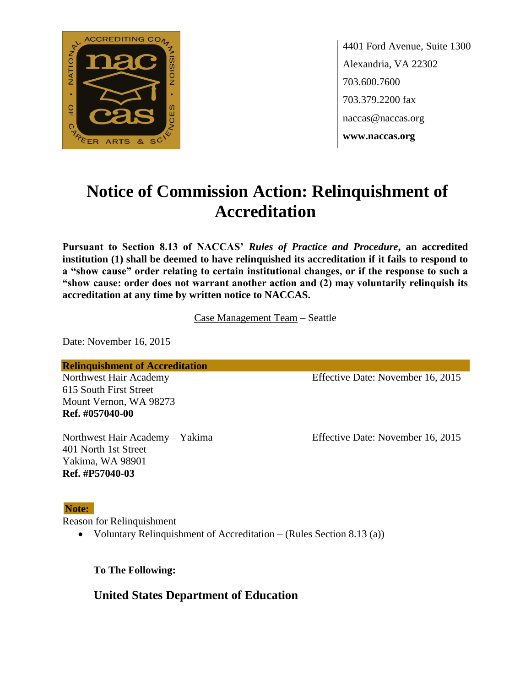

4401 Ford Avenue, Suite 1300 Alexandria, VA 22302 703.600.7600 703.379.2200 fax naccas@naccas.org **www.naccas.org**

# **Notice of Commission Action: Relinquishment of Accreditation**

**Pursuant to Section 8.13 of NACCAS'** *Rules of Practice and Procedure***, an accredited institution (1) shall be deemed to have relinquished its accreditation if it fails to respond to a "show cause" order relating to certain institutional changes, or if the response to such a "show cause: order does not warrant another action and (2) may voluntarily relinquish its accreditation at any time by written notice to NACCAS.**

Case Management Team – Seattle

Date: November 16, 2015

**Relinquishment of Accreditation**

615 South First Street Mount Vernon, WA 98273 **Ref. #057040-00**

401 North 1st Street Yakima, WA 98901 **Ref. #P57040-03**

Northwest Hair Academy Effective Date: November 16, 2015

Northwest Hair Academy – Yakima Effective Date: November 16, 2015

#### **Note:**

Reason for Relinquishment

• Voluntary Relinquishment of Accreditation – (Rules Section 8.13 (a))

**To The Following:**

**United States Department of Education**